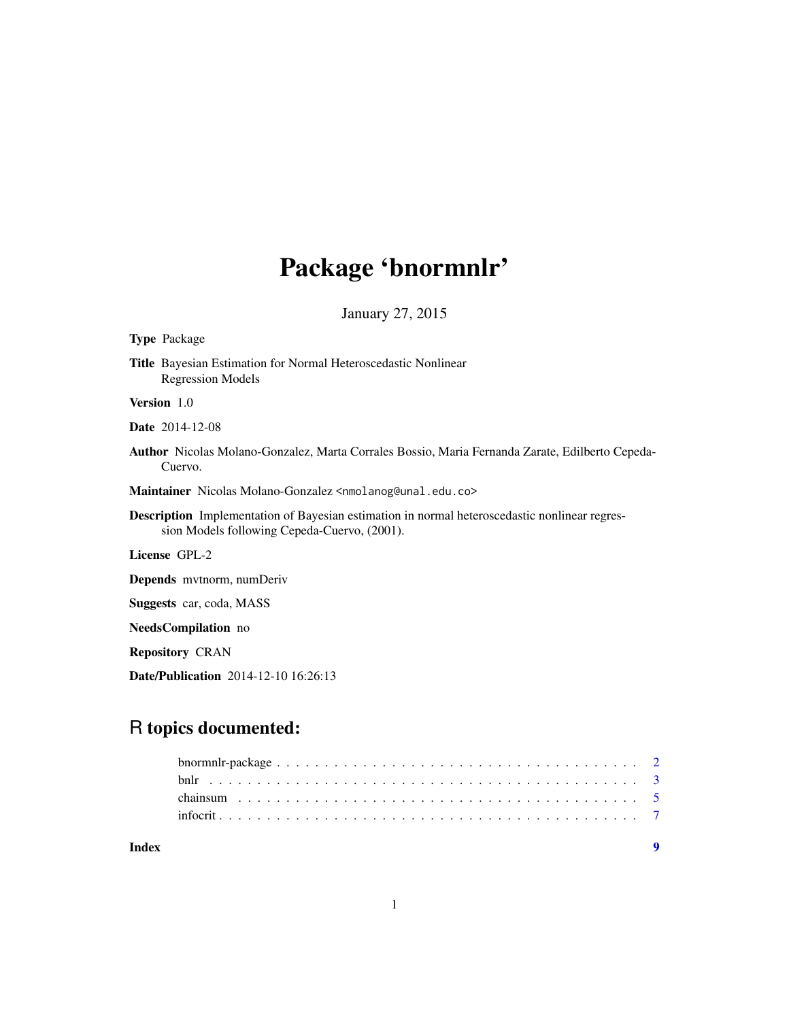# Package 'bnormnlr'

January 27, 2015

# Type Package

Title Bayesian Estimation for Normal Heteroscedastic Nonlinear Regression Models

Version 1.0

Date 2014-12-08

Author Nicolas Molano-Gonzalez, Marta Corrales Bossio, Maria Fernanda Zarate, Edilberto Cepeda-Cuervo.

Maintainer Nicolas Molano-Gonzalez <nmolanog@unal.edu.co>

Description Implementation of Bayesian estimation in normal heteroscedastic nonlinear regression Models following Cepeda-Cuervo, (2001).

License GPL-2

Depends mvtnorm, numDeriv

Suggests car, coda, MASS

NeedsCompilation no

Repository CRAN

Date/Publication 2014-12-10 16:26:13

# R topics documented:

| Index |  |
|-------|--|
|       |  |
|       |  |
|       |  |
|       |  |

1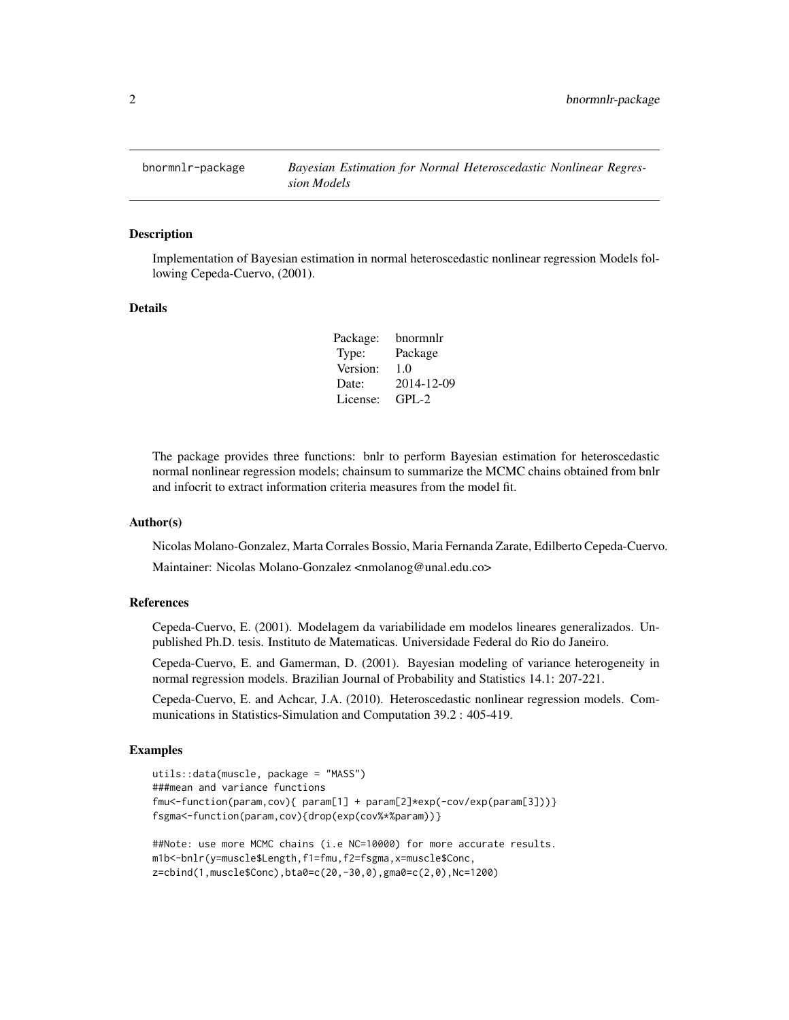<span id="page-1-0"></span>

#### Description

Implementation of Bayesian estimation in normal heteroscedastic nonlinear regression Models following Cepeda-Cuervo, (2001).

# Details

Package: bnormnlr Type: Package Version: 1.0 Date: 2014-12-09 License: GPL-2

The package provides three functions: bnlr to perform Bayesian estimation for heteroscedastic normal nonlinear regression models; chainsum to summarize the MCMC chains obtained from bnlr and infocrit to extract information criteria measures from the model fit.

#### Author(s)

Nicolas Molano-Gonzalez, Marta Corrales Bossio, Maria Fernanda Zarate, Edilberto Cepeda-Cuervo.

Maintainer: Nicolas Molano-Gonzalez <nmolanog@unal.edu.co>

# References

Cepeda-Cuervo, E. (2001). Modelagem da variabilidade em modelos lineares generalizados. Unpublished Ph.D. tesis. Instituto de Matematicas. Universidade Federal do Rio do Janeiro.

Cepeda-Cuervo, E. and Gamerman, D. (2001). Bayesian modeling of variance heterogeneity in normal regression models. Brazilian Journal of Probability and Statistics 14.1: 207-221.

Cepeda-Cuervo, E. and Achcar, J.A. (2010). Heteroscedastic nonlinear regression models. Communications in Statistics-Simulation and Computation 39.2 : 405-419.

## Examples

```
utils::data(muscle, package = "MASS")
###mean and variance functions
fmu<-function(param,cov){ param[1] + param[2]*exp(-cov/exp(param[3]))}
fsgma<-function(param,cov){drop(exp(cov%*%param))}
##Note: use more MCMC chains (i.e NC=10000) for more accurate results.
```

```
m1b<-bnlr(y=muscle$Length,f1=fmu,f2=fsgma,x=muscle$Conc,
z=cbind(1,muscle$Conc),bta0=c(20,-30,0),gma0=c(2,0),Nc=1200)
```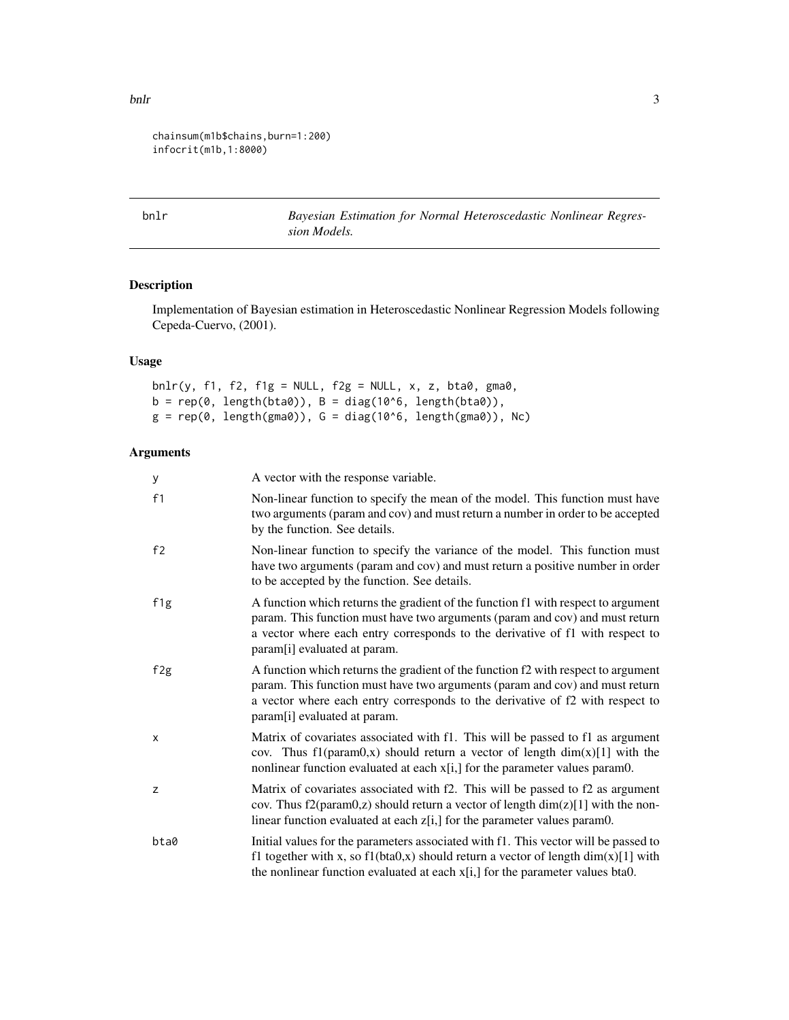```
chainsum(m1b$chains,burn=1:200)
infocrit(m1b,1:8000)
```
bnlr *Bayesian Estimation for Normal Heteroscedastic Nonlinear Regression Models.*

# Description

Implementation of Bayesian estimation in Heteroscedastic Nonlinear Regression Models following Cepeda-Cuervo, (2001).

# Usage

 $bnlr(y, f1, f2, f1g = NULL, f2g = NULL, x, z, bta0, gma0,$  $b = rep(0, length(bta0)), B = diag(10<sup>0</sup>6, length(bta0)),$  $g = rep(0, length(gma0)), G = diag(10<sup>0</sup>6, length(gma0)), NC)$ 

# Arguments

| у    | A vector with the response variable.                                                                                                                                                                                                                                               |
|------|------------------------------------------------------------------------------------------------------------------------------------------------------------------------------------------------------------------------------------------------------------------------------------|
| f1   | Non-linear function to specify the mean of the model. This function must have<br>two arguments (param and cov) and must return a number in order to be accepted<br>by the function. See details.                                                                                   |
| f2   | Non-linear function to specify the variance of the model. This function must<br>have two arguments (param and cov) and must return a positive number in order<br>to be accepted by the function. See details.                                                                      |
| f1g  | A function which returns the gradient of the function f1 with respect to argument<br>param. This function must have two arguments (param and cov) and must return<br>a vector where each entry corresponds to the derivative of f1 with respect to<br>param[i] evaluated at param. |
| f2g  | A function which returns the gradient of the function f2 with respect to argument<br>param. This function must have two arguments (param and cov) and must return<br>a vector where each entry corresponds to the derivative of f2 with respect to<br>param[i] evaluated at param. |
| x    | Matrix of covariates associated with f1. This will be passed to f1 as argument<br>cov. Thus $f1(param0,x)$ should return a vector of length $dim(x)[1]$ with the<br>nonlinear function evaluated at each x[i,] for the parameter values param0.                                    |
| Z    | Matrix of covariates associated with f2. This will be passed to f2 as argument<br>cov. Thus $f2(param0,z)$ should return a vector of length $dim(z)[1]$ with the non-<br>linear function evaluated at each z[i,] for the parameter values param0.                                  |
| bta0 | Initial values for the parameters associated with f1. This vector will be passed to<br>f1 together with x, so f1(bta0,x) should return a vector of length $dim(x)[1]$ with<br>the nonlinear function evaluated at each $x[i]$ for the parameter values bta0.                       |

# <span id="page-2-0"></span>bnlr 3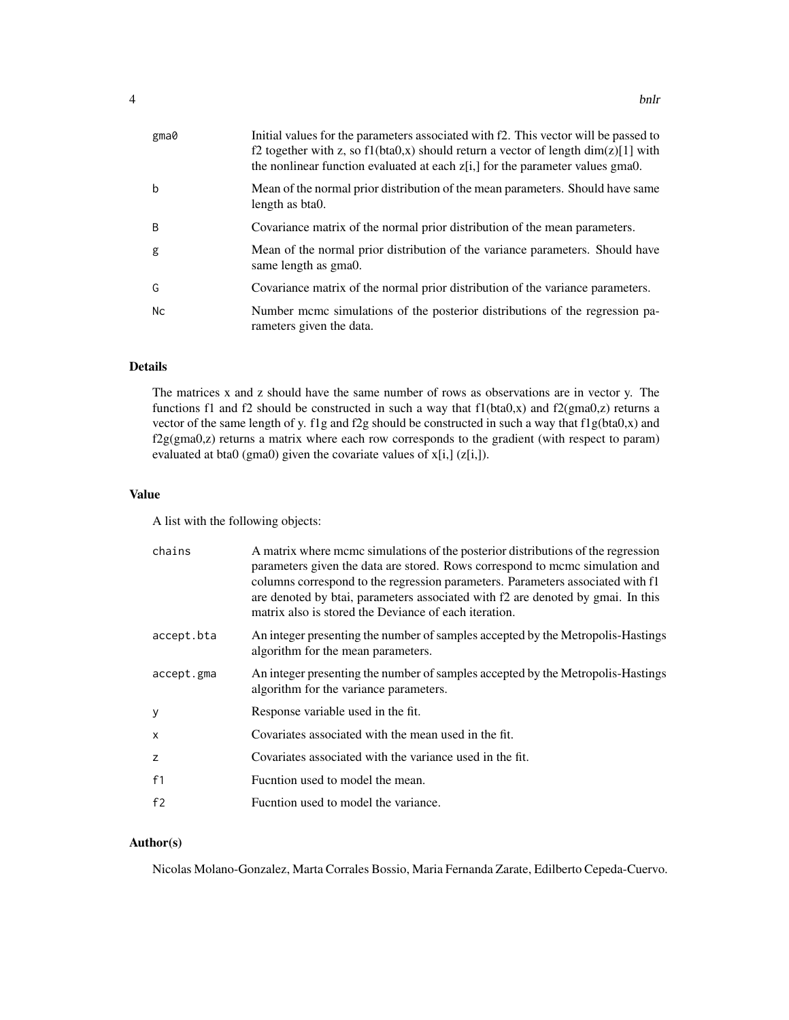| gma0 | Initial values for the parameters associated with f2. This vector will be passed to<br>f2 together with z, so f1(bta0,x) should return a vector of length $dim(z)[1]$ with<br>the nonlinear function evaluated at each $z[i]$ , for the parameter values gma0. |
|------|----------------------------------------------------------------------------------------------------------------------------------------------------------------------------------------------------------------------------------------------------------------|
| b    | Mean of the normal prior distribution of the mean parameters. Should have same<br>length as bta0.                                                                                                                                                              |
| B.   | Covariance matrix of the normal prior distribution of the mean parameters.                                                                                                                                                                                     |
| g    | Mean of the normal prior distribution of the variance parameters. Should have<br>same length as gma0.                                                                                                                                                          |
| G    | Covariance matrix of the normal prior distribution of the variance parameters.                                                                                                                                                                                 |
| Nc   | Number meme simulations of the posterior distributions of the regression pa-<br>rameters given the data.                                                                                                                                                       |

# Details

The matrices x and z should have the same number of rows as observations are in vector y. The functions f1 and f2 should be constructed in such a way that  $f1(bta0,x)$  and  $f2(gma0,z)$  returns a vector of the same length of y. f1g and f2g should be constructed in such a way that f1g(bta0,x) and f2g(gma0,z) returns a matrix where each row corresponds to the gradient (with respect to param) evaluated at bta0 (gma0) given the covariate values of  $x[i,]$  ( $z[i,]$ ).

# Value

A list with the following objects:

| chains         | A matrix where mcmc simulations of the posterior distributions of the regression<br>parameters given the data are stored. Rows correspond to meme simulation and<br>columns correspond to the regression parameters. Parameters associated with f1<br>are denoted by btai, parameters associated with f2 are denoted by gmai. In this<br>matrix also is stored the Deviance of each iteration. |
|----------------|------------------------------------------------------------------------------------------------------------------------------------------------------------------------------------------------------------------------------------------------------------------------------------------------------------------------------------------------------------------------------------------------|
| accept.bta     | An integer presenting the number of samples accepted by the Metropolis-Hastings<br>algorithm for the mean parameters.                                                                                                                                                                                                                                                                          |
| accept.gma     | An integer presenting the number of samples accepted by the Metropolis-Hastings<br>algorithm for the variance parameters.                                                                                                                                                                                                                                                                      |
| y              | Response variable used in the fit.                                                                                                                                                                                                                                                                                                                                                             |
| X              | Covariates associated with the mean used in the fit.                                                                                                                                                                                                                                                                                                                                           |
| z              | Covariates associated with the variance used in the fit.                                                                                                                                                                                                                                                                                                                                       |
| f <sub>1</sub> | Fucntion used to model the mean.                                                                                                                                                                                                                                                                                                                                                               |
| f <sub>2</sub> | Fucntion used to model the variance.                                                                                                                                                                                                                                                                                                                                                           |
|                |                                                                                                                                                                                                                                                                                                                                                                                                |

# Author(s)

Nicolas Molano-Gonzalez, Marta Corrales Bossio, Maria Fernanda Zarate, Edilberto Cepeda-Cuervo.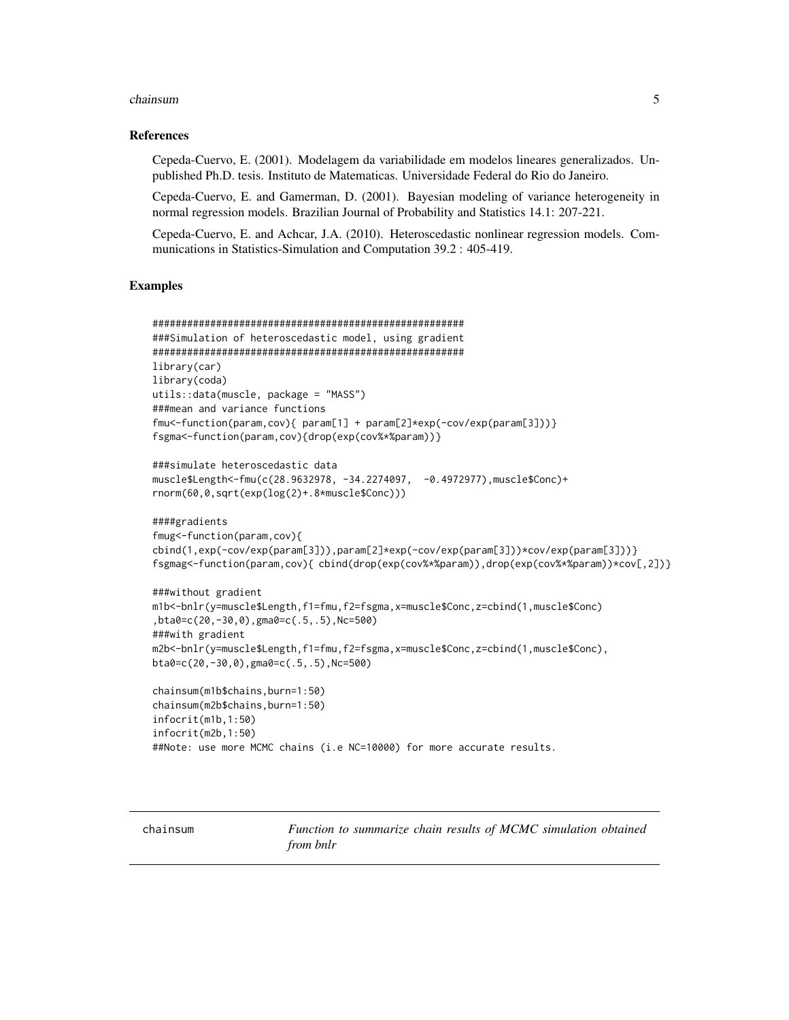#### <span id="page-4-0"></span>chainsum 5

#### References

Cepeda-Cuervo, E. (2001). Modelagem da variabilidade em modelos lineares generalizados. Unpublished Ph.D. tesis. Instituto de Matematicas. Universidade Federal do Rio do Janeiro.

Cepeda-Cuervo, E. and Gamerman, D. (2001). Bayesian modeling of variance heterogeneity in normal regression models. Brazilian Journal of Probability and Statistics 14.1: 207-221.

Cepeda-Cuervo, E. and Achcar, J.A. (2010). Heteroscedastic nonlinear regression models. Communications in Statistics-Simulation and Computation 39.2 : 405-419.

#### Examples

```
######################################################
###Simulation of heteroscedastic model, using gradient
######################################################
library(car)
library(coda)
utils::data(muscle, package = "MASS")
###mean and variance functions
fmu<-function(param,cov){ param[1] + param[2]*exp(-cov/exp(param[3]))}
fsgma<-function(param,cov){drop(exp(cov%*%param))}
###simulate heteroscedastic data
muscle$Length<-fmu(c(28.9632978, -34.2274097, -0.4972977),muscle$Conc)+
rnorm(60,0,sqrt(exp(log(2)+.8*muscle$Conc)))
####gradients
fmug<-function(param,cov){
cbind(1,exp(-cov/exp(param[3])),param[2]*exp(-cov/exp(param[3]))*cov/exp(param[3]))}
fsgmag<-function(param,cov){ cbind(drop(exp(cov%*%param)),drop(exp(cov%*%param))*cov[,2])}
###without gradient
m1b<-bnlr(y=muscle$Length,f1=fmu,f2=fsgma,x=muscle$Conc,z=cbind(1,muscle$Conc)
,bta0=c(20,-30,0),gma0=c(.5,.5),Nc=500)
###with gradient
m2b<-bnlr(y=muscle$Length,f1=fmu,f2=fsgma,x=muscle$Conc,z=cbind(1,muscle$Conc),
bta0=c(20,-30,0),gma0=c(.5,.5),Nc=500)
chainsum(m1b$chains,burn=1:50)
chainsum(m2b$chains,burn=1:50)
infocrit(m1b,1:50)
infocrit(m2b,1:50)
##Note: use more MCMC chains (i.e NC=10000) for more accurate results.
```
chainsum *Function to summarize chain results of MCMC simulation obtained from bnlr*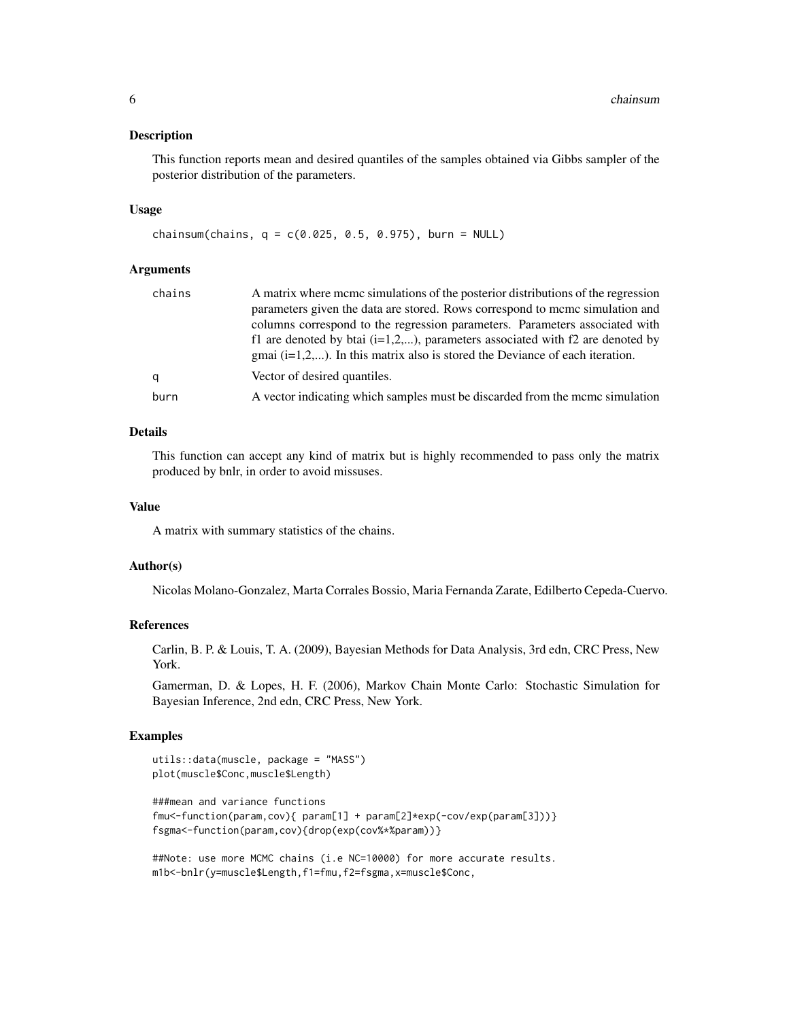#### Description

This function reports mean and desired quantiles of the samples obtained via Gibbs sampler of the posterior distribution of the parameters.

#### Usage

chainsum(chains,  $q = c(0.025, 0.5, 0.975)$ , burn = NULL)

# Arguments

| chains | A matrix where meme simulations of the posterior distributions of the regression |
|--------|----------------------------------------------------------------------------------|
|        | parameters given the data are stored. Rows correspond to mcmc simulation and     |
|        | columns correspond to the regression parameters. Parameters associated with      |
|        | f1 are denoted by btai $(i=1,2,)$ , parameters associated with f2 are denoted by |
|        | gmai $(i=1,2,)$ . In this matrix also is stored the Deviance of each iteration.  |
| a      | Vector of desired quantiles.                                                     |
| burn   | A vector indicating which samples must be discarded from the mcmc simulation     |

# Details

This function can accept any kind of matrix but is highly recommended to pass only the matrix produced by bnlr, in order to avoid missuses.

#### Value

A matrix with summary statistics of the chains.

#### Author(s)

Nicolas Molano-Gonzalez, Marta Corrales Bossio, Maria Fernanda Zarate, Edilberto Cepeda-Cuervo.

#### References

Carlin, B. P. & Louis, T. A. (2009), Bayesian Methods for Data Analysis, 3rd edn, CRC Press, New York.

Gamerman, D. & Lopes, H. F. (2006), Markov Chain Monte Carlo: Stochastic Simulation for Bayesian Inference, 2nd edn, CRC Press, New York.

#### Examples

```
utils::data(muscle, package = "MASS")
plot(muscle$Conc,muscle$Length)
```

```
###mean and variance functions
fmu<-function(param,cov){ param[1] + param[2]*exp(-cov/exp(param[3]))}
fsgma<-function(param,cov){drop(exp(cov%*%param))}
```
##Note: use more MCMC chains (i.e NC=10000) for more accurate results. m1b<-bnlr(y=muscle\$Length,f1=fmu,f2=fsgma,x=muscle\$Conc,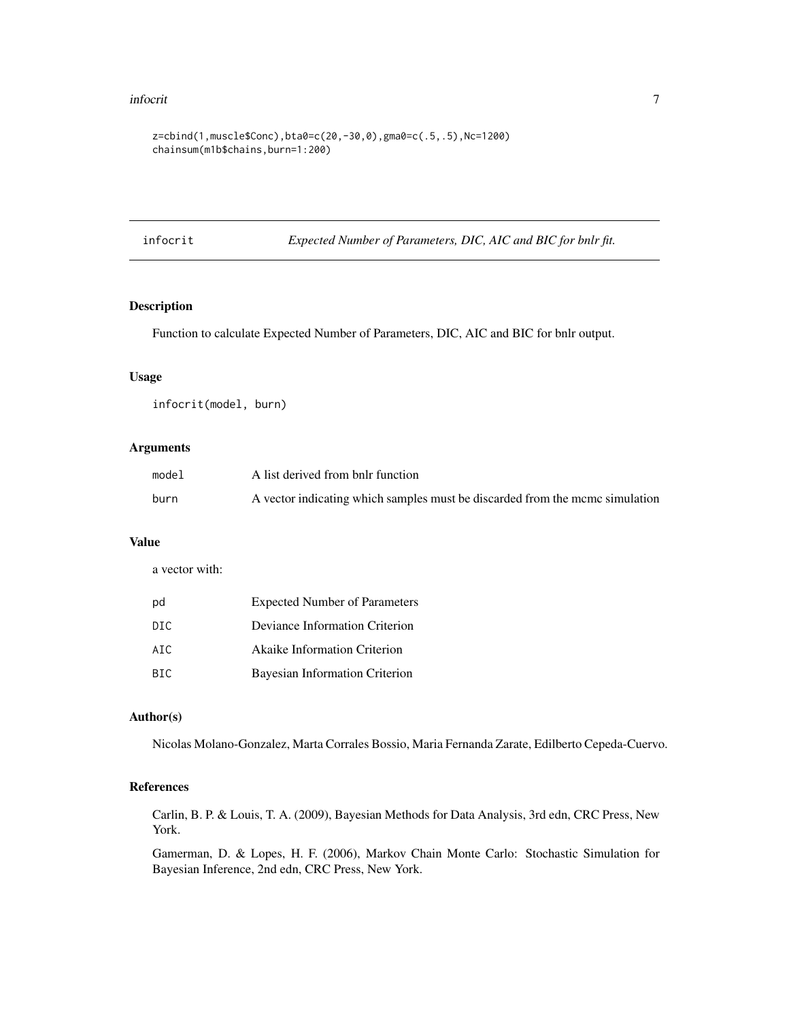#### <span id="page-6-0"></span>infocrit 7

```
z=cbind(1,muscle$Conc),bta0=c(20,-30,0),gma0=c(.5,.5),Nc=1200)
chainsum(m1b$chains,burn=1:200)
```
infocrit *Expected Number of Parameters, DIC, AIC and BIC for bnlr fit.*

# Description

Function to calculate Expected Number of Parameters, DIC, AIC and BIC for bnlr output.

#### Usage

infocrit(model, burn)

# Arguments

| model | A list derived from bnlr function                                            |
|-------|------------------------------------------------------------------------------|
| burn  | A vector indicating which samples must be discarded from the mcmc simulation |

### Value

a vector with:

| pd   | <b>Expected Number of Parameters</b> |
|------|--------------------------------------|
| DIC  | Deviance Information Criterion       |
| ATC. | <b>Akaike Information Criterion</b>  |
| BIC  | Bayesian Information Criterion       |

# Author(s)

Nicolas Molano-Gonzalez, Marta Corrales Bossio, Maria Fernanda Zarate, Edilberto Cepeda-Cuervo.

# References

Carlin, B. P. & Louis, T. A. (2009), Bayesian Methods for Data Analysis, 3rd edn, CRC Press, New York.

Gamerman, D. & Lopes, H. F. (2006), Markov Chain Monte Carlo: Stochastic Simulation for Bayesian Inference, 2nd edn, CRC Press, New York.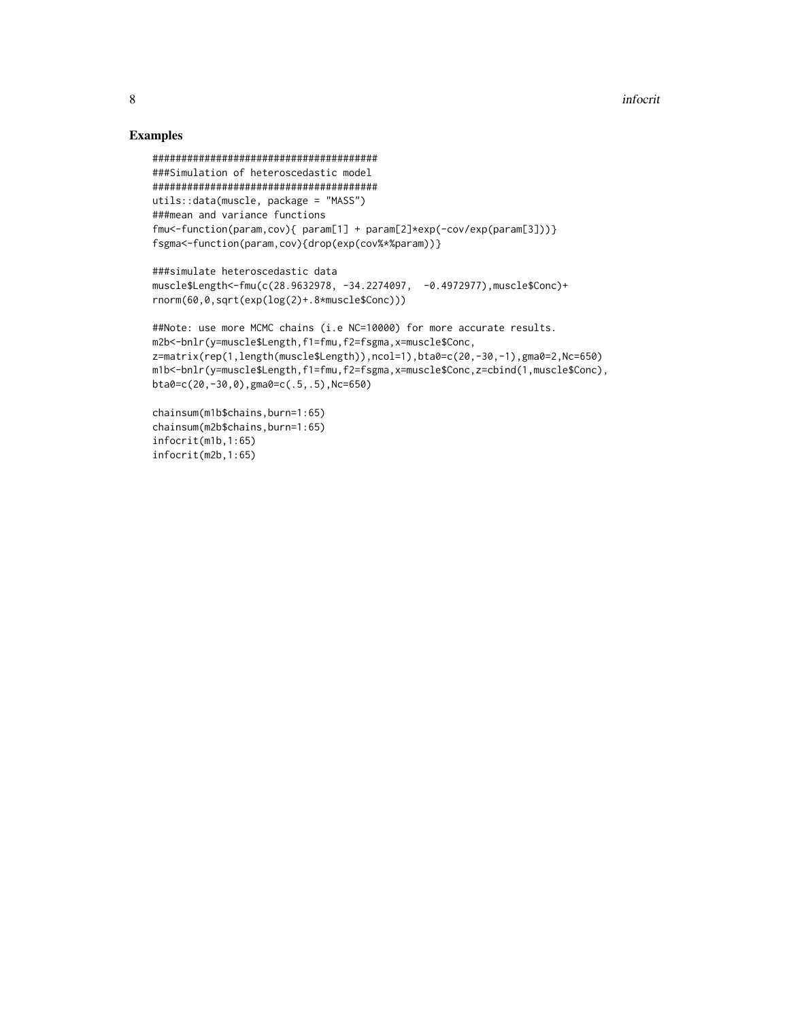# Examples

```
#######################################
###Simulation of heteroscedastic model
#######################################
utils::data(muscle, package = "MASS")
###mean and variance functions
fmu<-function(param,cov){ param[1] + param[2]*exp(-cov/exp(param[3]))}
fsgma<-function(param,cov){drop(exp(cov%*%param))}
```

```
###simulate heteroscedastic data
muscle$Length<-fmu(c(28.9632978, -34.2274097, -0.4972977),muscle$Conc)+
rnorm(60,0,sqrt(exp(log(2)+.8*muscle$Conc)))
```

```
##Note: use more MCMC chains (i.e NC=10000) for more accurate results.
m2b<-bnlr(y=muscle$Length,f1=fmu,f2=fsgma,x=muscle$Conc,
z=matrix(rep(1,length(muscle$Length)),ncol=1),bta0=c(20,-30,-1),gma0=2,Nc=650)
m1b<-bnlr(y=muscle$Length,f1=fmu,f2=fsgma,x=muscle$Conc,z=cbind(1,muscle$Conc),
bta0=c(20,-30,0),gma0=c(.5,.5),Nc=650)
```

```
chainsum(m1b$chains,burn=1:65)
chainsum(m2b$chains,burn=1:65)
infocrit(m1b,1:65)
infocrit(m2b,1:65)
```